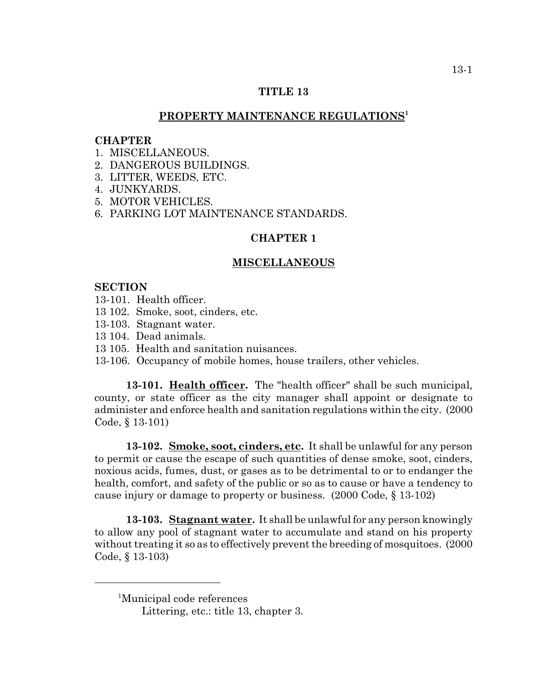# **TITLE 13**

# **PROPERTY MAINTENANCE REGULATIONS1**

### **CHAPTER**

- 1 MISCELLANEOUS
- 2. DANGEROUS BUILDINGS.
- 3. LITTER, WEEDS, ETC.
- 4. JUNKYARDS.
- 5. MOTOR VEHICLES.
- 6. PARKING LOT MAINTENANCE STANDARDS.

#### **CHAPTER 1**

#### **MISCELLANEOUS**

#### **SECTION**

- 13-101. Health officer.
- 13 102. Smoke, soot, cinders, etc.
- 13-103. Stagnant water.
- 13 104. Dead animals.
- 13 105. Health and sanitation nuisances.
- 13-106. Occupancy of mobile homes, house trailers, other vehicles.

**13-101. Health officer.** The "health officer" shall be such municipal, county, or state officer as the city manager shall appoint or designate to administer and enforce health and sanitation regulations within the city. (2000 Code, § 13-101)

**13-102. Smoke, soot, cinders, etc.** It shall be unlawful for any person to permit or cause the escape of such quantities of dense smoke, soot, cinders, noxious acids, fumes, dust, or gases as to be detrimental to or to endanger the health, comfort, and safety of the public or so as to cause or have a tendency to cause injury or damage to property or business. (2000 Code, § 13-102)

**13-103. Stagnant water.** It shall be unlawful for any person knowingly to allow any pool of stagnant water to accumulate and stand on his property without treating it so as to effectively prevent the breeding of mosquitoes. (2000 Code, § 13-103)

<sup>1</sup> Municipal code references

Littering, etc.: title 13, chapter 3.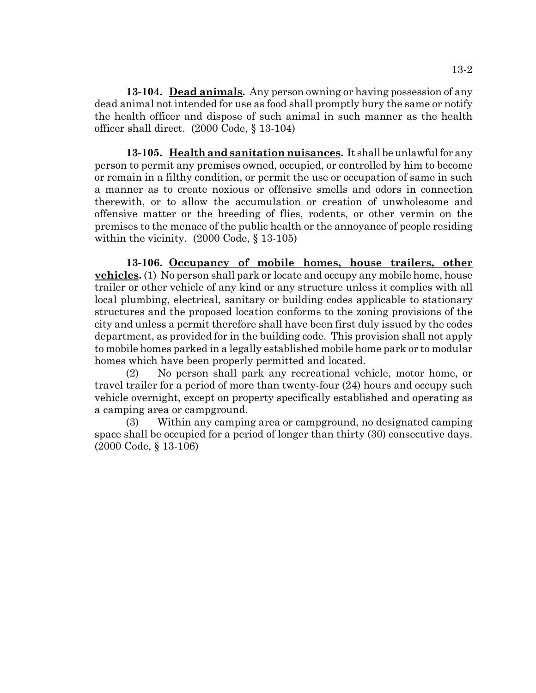**13-104. Dead animals.** Any person owning or having possession of any dead animal not intended for use as food shall promptly bury the same or notify the health officer and dispose of such animal in such manner as the health officer shall direct. (2000 Code, § 13-104)

**13-105. Health and sanitation nuisances.** It shall be unlawful for any person to permit any premises owned, occupied, or controlled by him to become or remain in a filthy condition, or permit the use or occupation of same in such a manner as to create noxious or offensive smells and odors in connection therewith, or to allow the accumulation or creation of unwholesome and offensive matter or the breeding of flies, rodents, or other vermin on the premises to the menace of the public health or the annoyance of people residing within the vicinity. (2000 Code, § 13-105)

**13-106. Occupancy of mobile homes, house trailers, other vehicles.** (1) No person shall park or locate and occupy any mobile home, house trailer or other vehicle of any kind or any structure unless it complies with all local plumbing, electrical, sanitary or building codes applicable to stationary structures and the proposed location conforms to the zoning provisions of the city and unless a permit therefore shall have been first duly issued by the codes department, as provided for in the building code. This provision shall not apply to mobile homes parked in a legally established mobile home park or to modular homes which have been properly permitted and located.

(2) No person shall park any recreational vehicle, motor home, or travel trailer for a period of more than twenty-four (24) hours and occupy such vehicle overnight, except on property specifically established and operating as a camping area or campground.

(3) Within any camping area or campground, no designated camping space shall be occupied for a period of longer than thirty (30) consecutive days. (2000 Code, § 13-106)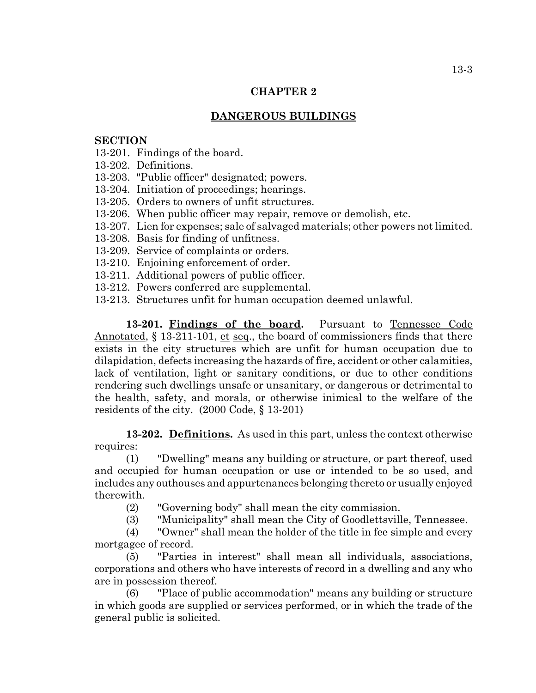# **DANGEROUS BUILDINGS**

# **SECTION**

13-201. Findings of the board.

13-202. Definitions.

13-203. "Public officer" designated; powers.

13-204. Initiation of proceedings; hearings.

13-205. Orders to owners of unfit structures.

13-206. When public officer may repair, remove or demolish, etc.

13-207. Lien for expenses; sale of salvaged materials; other powers not limited.

13-208. Basis for finding of unfitness.

13-209. Service of complaints or orders.

13-210. Enjoining enforcement of order.

13-211. Additional powers of public officer.

13-212. Powers conferred are supplemental.

13-213. Structures unfit for human occupation deemed unlawful.

13-201. Findings of the board. Pursuant to Tennessee Code Annotated, § 13-211-101, et seq., the board of commissioners finds that there exists in the city structures which are unfit for human occupation due to dilapidation, defects increasing the hazards of fire, accident or other calamities, lack of ventilation, light or sanitary conditions, or due to other conditions rendering such dwellings unsafe or unsanitary, or dangerous or detrimental to the health, safety, and morals, or otherwise inimical to the welfare of the residents of the city. (2000 Code, § 13-201)

**13-202. Definitions.** As used in this part, unless the context otherwise requires:

(1) "Dwelling" means any building or structure, or part thereof, used and occupied for human occupation or use or intended to be so used, and includes any outhouses and appurtenances belonging thereto or usually enjoyed therewith.

(2) "Governing body" shall mean the city commission.

(3) "Municipality" shall mean the City of Goodlettsville, Tennessee.

(4) "Owner" shall mean the holder of the title in fee simple and every mortgagee of record.

(5) "Parties in interest" shall mean all individuals, associations, corporations and others who have interests of record in a dwelling and any who are in possession thereof.

(6) "Place of public accommodation" means any building or structure in which goods are supplied or services performed, or in which the trade of the general public is solicited.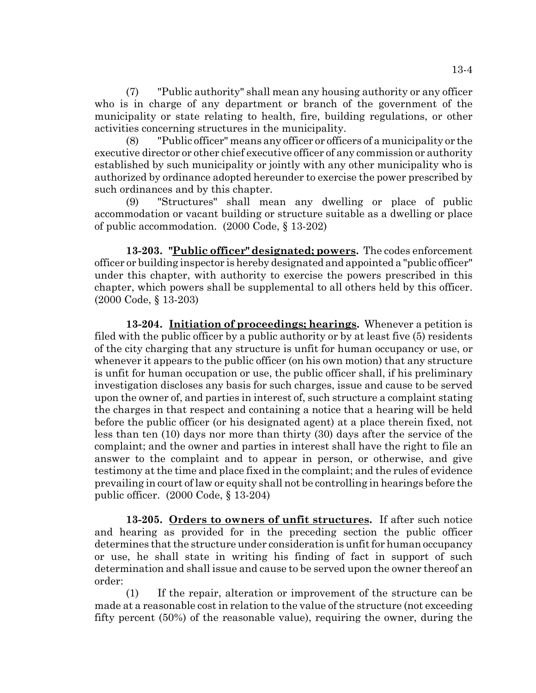(7) "Public authority" shall mean any housing authority or any officer who is in charge of any department or branch of the government of the municipality or state relating to health, fire, building regulations, or other activities concerning structures in the municipality.

(8) "Public officer" means any officer or officers of a municipality or the executive director or other chief executive officer of any commission or authority established by such municipality or jointly with any other municipality who is authorized by ordinance adopted hereunder to exercise the power prescribed by such ordinances and by this chapter.

(9) "Structures" shall mean any dwelling or place of public accommodation or vacant building or structure suitable as a dwelling or place of public accommodation. (2000 Code, § 13-202)

**13-203. "Public officer" designated; powers.** The codes enforcement officer or building inspector is hereby designated and appointed a "public officer" under this chapter, with authority to exercise the powers prescribed in this chapter, which powers shall be supplemental to all others held by this officer. (2000 Code, § 13-203)

**13-204. Initiation of proceedings; hearings.** Whenever a petition is filed with the public officer by a public authority or by at least five (5) residents of the city charging that any structure is unfit for human occupancy or use, or whenever it appears to the public officer (on his own motion) that any structure is unfit for human occupation or use, the public officer shall, if his preliminary investigation discloses any basis for such charges, issue and cause to be served upon the owner of, and parties in interest of, such structure a complaint stating the charges in that respect and containing a notice that a hearing will be held before the public officer (or his designated agent) at a place therein fixed, not less than ten (10) days nor more than thirty (30) days after the service of the complaint; and the owner and parties in interest shall have the right to file an answer to the complaint and to appear in person, or otherwise, and give testimony at the time and place fixed in the complaint; and the rules of evidence prevailing in court of law or equity shall not be controlling in hearings before the public officer. (2000 Code, § 13-204)

**13-205. Orders to owners of unfit structures.** If after such notice and hearing as provided for in the preceding section the public officer determines that the structure under consideration is unfit for human occupancy or use, he shall state in writing his finding of fact in support of such determination and shall issue and cause to be served upon the owner thereof an order:

(1) If the repair, alteration or improvement of the structure can be made at a reasonable cost in relation to the value of the structure (not exceeding fifty percent (50%) of the reasonable value), requiring the owner, during the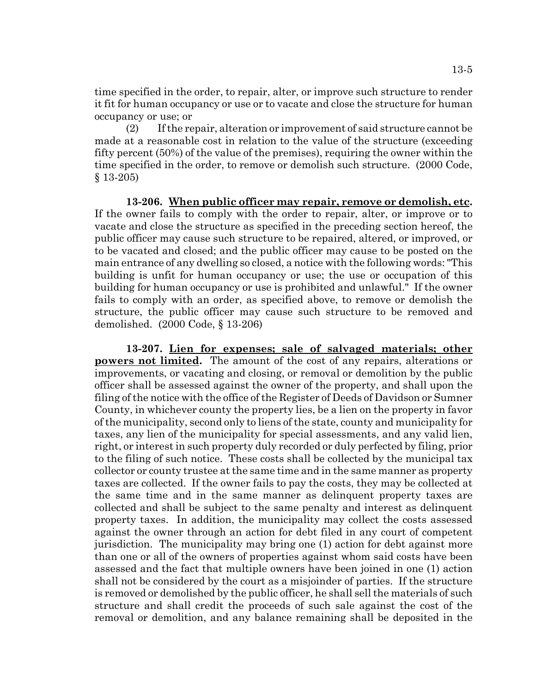time specified in the order, to repair, alter, or improve such structure to render it fit for human occupancy or use or to vacate and close the structure for human occupancy or use; or

(2) If the repair, alteration or improvement of said structure cannot be made at a reasonable cost in relation to the value of the structure (exceeding fifty percent (50%) of the value of the premises), requiring the owner within the time specified in the order, to remove or demolish such structure. (2000 Code, § 13-205)

**13-206. When public officer may repair, remove or demolish, etc.** If the owner fails to comply with the order to repair, alter, or improve or to vacate and close the structure as specified in the preceding section hereof, the public officer may cause such structure to be repaired, altered, or improved, or to be vacated and closed; and the public officer may cause to be posted on the main entrance of any dwelling so closed, a notice with the following words: "This building is unfit for human occupancy or use; the use or occupation of this building for human occupancy or use is prohibited and unlawful." If the owner fails to comply with an order, as specified above, to remove or demolish the structure, the public officer may cause such structure to be removed and demolished. (2000 Code, § 13-206)

**13-207. Lien for expenses; sale of salvaged materials; other powers not limited.** The amount of the cost of any repairs, alterations or improvements, or vacating and closing, or removal or demolition by the public officer shall be assessed against the owner of the property, and shall upon the filing of the notice with the office of the Register of Deeds of Davidson or Sumner County, in whichever county the property lies, be a lien on the property in favor of the municipality, second only to liens of the state, county and municipality for taxes, any lien of the municipality for special assessments, and any valid lien, right, or interest in such property duly recorded or duly perfected by filing, prior to the filing of such notice. These costs shall be collected by the municipal tax collector or county trustee at the same time and in the same manner as property taxes are collected. If the owner fails to pay the costs, they may be collected at the same time and in the same manner as delinquent property taxes are collected and shall be subject to the same penalty and interest as delinquent property taxes. In addition, the municipality may collect the costs assessed against the owner through an action for debt filed in any court of competent jurisdiction. The municipality may bring one (1) action for debt against more than one or all of the owners of properties against whom said costs have been assessed and the fact that multiple owners have been joined in one (1) action shall not be considered by the court as a misjoinder of parties. If the structure is removed or demolished by the public officer, he shall sell the materials of such structure and shall credit the proceeds of such sale against the cost of the removal or demolition, and any balance remaining shall be deposited in the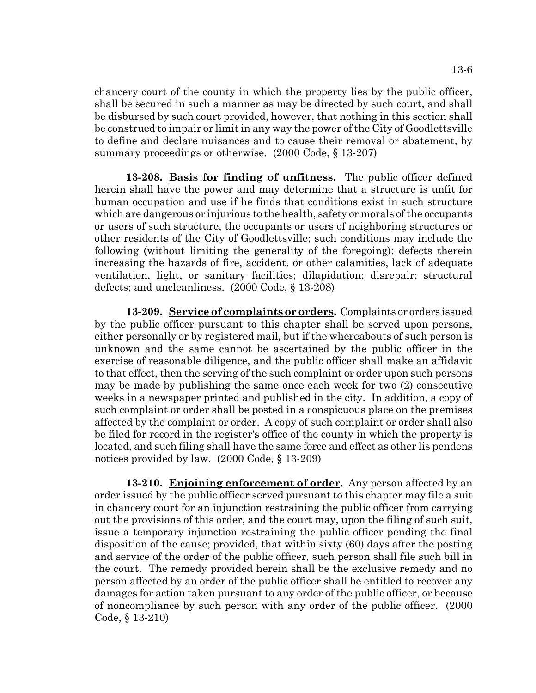chancery court of the county in which the property lies by the public officer, shall be secured in such a manner as may be directed by such court, and shall be disbursed by such court provided, however, that nothing in this section shall be construed to impair or limit in any way the power of the City of Goodlettsville to define and declare nuisances and to cause their removal or abatement, by summary proceedings or otherwise. (2000 Code, § 13-207)

**13-208. Basis for finding of unfitness.** The public officer defined herein shall have the power and may determine that a structure is unfit for human occupation and use if he finds that conditions exist in such structure which are dangerous or injurious to the health, safety or morals of the occupants or users of such structure, the occupants or users of neighboring structures or other residents of the City of Goodlettsville; such conditions may include the following (without limiting the generality of the foregoing): defects therein increasing the hazards of fire, accident, or other calamities, lack of adequate ventilation, light, or sanitary facilities; dilapidation; disrepair; structural defects; and uncleanliness. (2000 Code, § 13-208)

**13-209. Service of complaints or orders.** Complaints or orders issued by the public officer pursuant to this chapter shall be served upon persons, either personally or by registered mail, but if the whereabouts of such person is unknown and the same cannot be ascertained by the public officer in the exercise of reasonable diligence, and the public officer shall make an affidavit to that effect, then the serving of the such complaint or order upon such persons may be made by publishing the same once each week for two (2) consecutive weeks in a newspaper printed and published in the city. In addition, a copy of such complaint or order shall be posted in a conspicuous place on the premises affected by the complaint or order. A copy of such complaint or order shall also be filed for record in the register's office of the county in which the property is located, and such filing shall have the same force and effect as other lis pendens notices provided by law. (2000 Code, § 13-209)

**13-210. Enjoining enforcement of order.** Any person affected by an order issued by the public officer served pursuant to this chapter may file a suit in chancery court for an injunction restraining the public officer from carrying out the provisions of this order, and the court may, upon the filing of such suit, issue a temporary injunction restraining the public officer pending the final disposition of the cause; provided, that within sixty (60) days after the posting and service of the order of the public officer, such person shall file such bill in the court. The remedy provided herein shall be the exclusive remedy and no person affected by an order of the public officer shall be entitled to recover any damages for action taken pursuant to any order of the public officer, or because of noncompliance by such person with any order of the public officer. (2000 Code, § 13-210)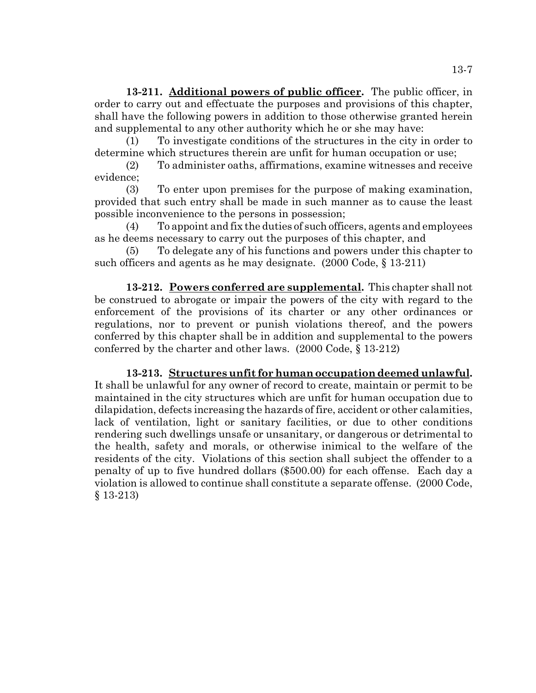**13-211. Additional powers of public officer.** The public officer, in order to carry out and effectuate the purposes and provisions of this chapter, shall have the following powers in addition to those otherwise granted herein and supplemental to any other authority which he or she may have:

(1) To investigate conditions of the structures in the city in order to determine which structures therein are unfit for human occupation or use;

(2) To administer oaths, affirmations, examine witnesses and receive evidence;

(3) To enter upon premises for the purpose of making examination, provided that such entry shall be made in such manner as to cause the least possible inconvenience to the persons in possession;

(4) To appoint and fix the duties of such officers, agents and employees as he deems necessary to carry out the purposes of this chapter, and

(5) To delegate any of his functions and powers under this chapter to such officers and agents as he may designate. (2000 Code, § 13-211)

**13-212. Powers conferred are supplemental.** This chapter shall not be construed to abrogate or impair the powers of the city with regard to the enforcement of the provisions of its charter or any other ordinances or regulations, nor to prevent or punish violations thereof, and the powers conferred by this chapter shall be in addition and supplemental to the powers conferred by the charter and other laws. (2000 Code, § 13-212)

**13-213. Structures unfit for human occupation deemed unlawful.** It shall be unlawful for any owner of record to create, maintain or permit to be maintained in the city structures which are unfit for human occupation due to dilapidation, defects increasing the hazards of fire, accident or other calamities, lack of ventilation, light or sanitary facilities, or due to other conditions rendering such dwellings unsafe or unsanitary, or dangerous or detrimental to the health, safety and morals, or otherwise inimical to the welfare of the residents of the city. Violations of this section shall subject the offender to a penalty of up to five hundred dollars (\$500.00) for each offense. Each day a violation is allowed to continue shall constitute a separate offense. (2000 Code, § 13-213)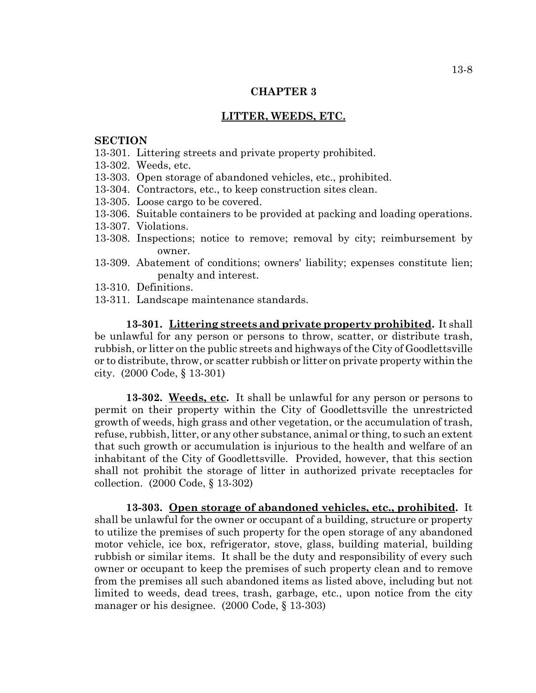# **LITTER, WEEDS, ETC.**

## **SECTION**

- 13-301. Littering streets and private property prohibited.
- 13-302. Weeds, etc.
- 13-303. Open storage of abandoned vehicles, etc., prohibited.
- 13-304. Contractors, etc., to keep construction sites clean.
- 13-305. Loose cargo to be covered.
- 13-306. Suitable containers to be provided at packing and loading operations.
- 13-307. Violations.
- 13-308. Inspections; notice to remove; removal by city; reimbursement by owner.
- 13-309. Abatement of conditions; owners' liability; expenses constitute lien; penalty and interest.
- 13-310. Definitions.
- 13-311. Landscape maintenance standards.

**13-301. Littering streets and private property prohibited.** It shall be unlawful for any person or persons to throw, scatter, or distribute trash, rubbish, or litter on the public streets and highways of the City of Goodlettsville or to distribute, throw, or scatter rubbish or litter on private property within the city. (2000 Code, § 13-301)

**13-302. Weeds, etc.** It shall be unlawful for any person or persons to permit on their property within the City of Goodlettsville the unrestricted growth of weeds, high grass and other vegetation, or the accumulation of trash, refuse, rubbish, litter, or any other substance, animal or thing, to such an extent that such growth or accumulation is injurious to the health and welfare of an inhabitant of the City of Goodlettsville. Provided, however, that this section shall not prohibit the storage of litter in authorized private receptacles for collection. (2000 Code, § 13-302)

**13-303. Open storage of abandoned vehicles, etc., prohibited.** It shall be unlawful for the owner or occupant of a building, structure or property to utilize the premises of such property for the open storage of any abandoned motor vehicle, ice box, refrigerator, stove, glass, building material, building rubbish or similar items. It shall be the duty and responsibility of every such owner or occupant to keep the premises of such property clean and to remove from the premises all such abandoned items as listed above, including but not limited to weeds, dead trees, trash, garbage, etc., upon notice from the city manager or his designee. (2000 Code, § 13-303)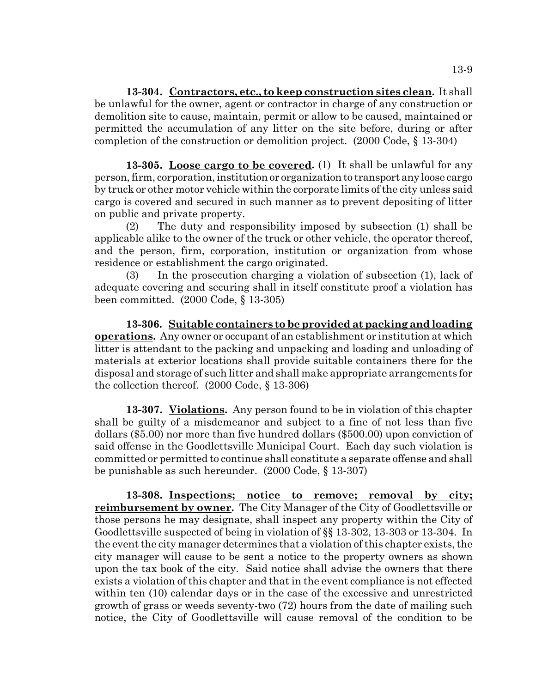**13-304. Contractors, etc., to keep construction sites clean.** It shall be unlawful for the owner, agent or contractor in charge of any construction or demolition site to cause, maintain, permit or allow to be caused, maintained or permitted the accumulation of any litter on the site before, during or after completion of the construction or demolition project. (2000 Code, § 13-304)

**13-305. Loose cargo to be covered.** (1) It shall be unlawful for any person, firm, corporation, institution or organization to transport any loose cargo by truck or other motor vehicle within the corporate limits of the city unless said cargo is covered and secured in such manner as to prevent depositing of litter on public and private property.

(2) The duty and responsibility imposed by subsection (1) shall be applicable alike to the owner of the truck or other vehicle, the operator thereof, and the person, firm, corporation, institution or organization from whose residence or establishment the cargo originated.

(3) In the prosecution charging a violation of subsection (1), lack of adequate covering and securing shall in itself constitute proof a violation has been committed. (2000 Code, § 13-305)

**13-306. Suitable containers to be provided at packing and loading operations.** Any owner or occupant of an establishment or institution at which litter is attendant to the packing and unpacking and loading and unloading of materials at exterior locations shall provide suitable containers there for the disposal and storage of such litter and shall make appropriate arrangements for the collection thereof. (2000 Code, § 13-306)

**13-307. Violations.** Any person found to be in violation of this chapter shall be guilty of a misdemeanor and subject to a fine of not less than five dollars (\$5.00) nor more than five hundred dollars (\$500.00) upon conviction of said offense in the Goodlettsville Municipal Court. Each day such violation is committed or permitted to continue shall constitute a separate offense and shall be punishable as such hereunder. (2000 Code, § 13-307)

**13-308. Inspections; notice to remove; removal by city; reimbursement by owner.** The City Manager of the City of Goodlettsville or those persons he may designate, shall inspect any property within the City of Goodlettsville suspected of being in violation of §§ 13-302, 13-303 or 13-304. In the event the city manager determines that a violation of this chapter exists, the city manager will cause to be sent a notice to the property owners as shown upon the tax book of the city. Said notice shall advise the owners that there exists a violation of this chapter and that in the event compliance is not effected within ten (10) calendar days or in the case of the excessive and unrestricted growth of grass or weeds seventy-two (72) hours from the date of mailing such notice, the City of Goodlettsville will cause removal of the condition to be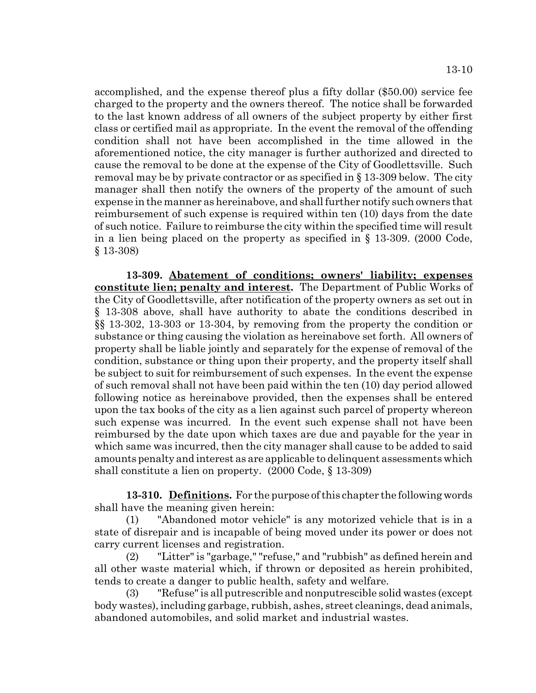accomplished, and the expense thereof plus a fifty dollar (\$50.00) service fee charged to the property and the owners thereof. The notice shall be forwarded to the last known address of all owners of the subject property by either first class or certified mail as appropriate. In the event the removal of the offending condition shall not have been accomplished in the time allowed in the aforementioned notice, the city manager is further authorized and directed to cause the removal to be done at the expense of the City of Goodlettsville. Such removal may be by private contractor or as specified in § 13-309 below. The city manager shall then notify the owners of the property of the amount of such expense in the manner as hereinabove, and shall further notify such owners that reimbursement of such expense is required within ten (10) days from the date of such notice. Failure to reimburse the city within the specified time will result in a lien being placed on the property as specified in § 13-309. (2000 Code, § 13-308)

**13-309. Abatement of conditions; owners' liability; expenses constitute lien; penalty and interest.** The Department of Public Works of the City of Goodlettsville, after notification of the property owners as set out in § 13-308 above, shall have authority to abate the conditions described in §§ 13-302, 13-303 or 13-304, by removing from the property the condition or substance or thing causing the violation as hereinabove set forth. All owners of property shall be liable jointly and separately for the expense of removal of the condition, substance or thing upon their property, and the property itself shall be subject to suit for reimbursement of such expenses. In the event the expense of such removal shall not have been paid within the ten (10) day period allowed following notice as hereinabove provided, then the expenses shall be entered upon the tax books of the city as a lien against such parcel of property whereon such expense was incurred. In the event such expense shall not have been reimbursed by the date upon which taxes are due and payable for the year in which same was incurred, then the city manager shall cause to be added to said amounts penalty and interest as are applicable to delinquent assessments which shall constitute a lien on property. (2000 Code, § 13-309)

**13-310. Definitions.** For the purpose of this chapter the following words shall have the meaning given herein:

(1) "Abandoned motor vehicle" is any motorized vehicle that is in a state of disrepair and is incapable of being moved under its power or does not carry current licenses and registration.

(2) "Litter" is "garbage," "refuse," and "rubbish" as defined herein and all other waste material which, if thrown or deposited as herein prohibited, tends to create a danger to public health, safety and welfare.

(3) "Refuse" is all putrescrible and nonputrescible solid wastes (except body wastes), including garbage, rubbish, ashes, street cleanings, dead animals, abandoned automobiles, and solid market and industrial wastes.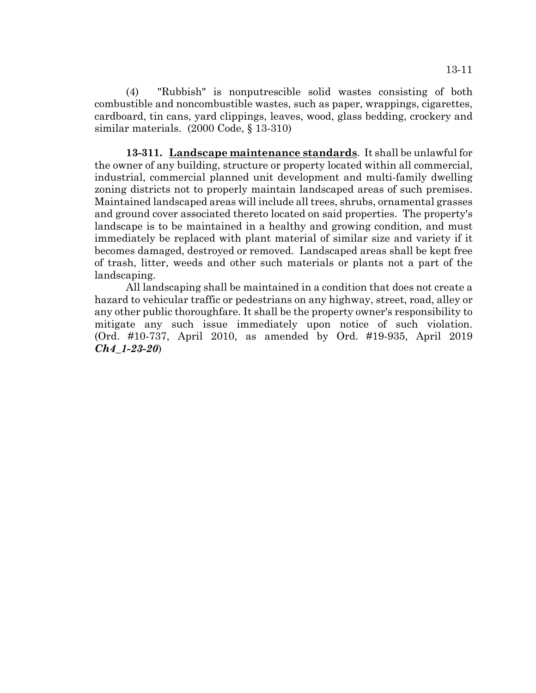(4) "Rubbish" is nonputrescible solid wastes consisting of both combustible and noncombustible wastes, such as paper, wrappings, cigarettes, cardboard, tin cans, yard clippings, leaves, wood, glass bedding, crockery and similar materials. (2000 Code, § 13-310)

**13-311. Landscape maintenance standards**. It shall be unlawful for the owner of any building, structure or property located within all commercial, industrial, commercial planned unit development and multi-family dwelling zoning districts not to properly maintain landscaped areas of such premises. Maintained landscaped areas will include all trees, shrubs, ornamental grasses and ground cover associated thereto located on said properties. The property's landscape is to be maintained in a healthy and growing condition, and must immediately be replaced with plant material of similar size and variety if it becomes damaged, destroyed or removed. Landscaped areas shall be kept free of trash, litter, weeds and other such materials or plants not a part of the landscaping.

All landscaping shall be maintained in a condition that does not create a hazard to vehicular traffic or pedestrians on any highway, street, road, alley or any other public thoroughfare. It shall be the property owner's responsibility to mitigate any such issue immediately upon notice of such violation. (Ord. #10-737, April 2010, as amended by Ord. #19-935, April 2019 *Ch4\_1-23-20*)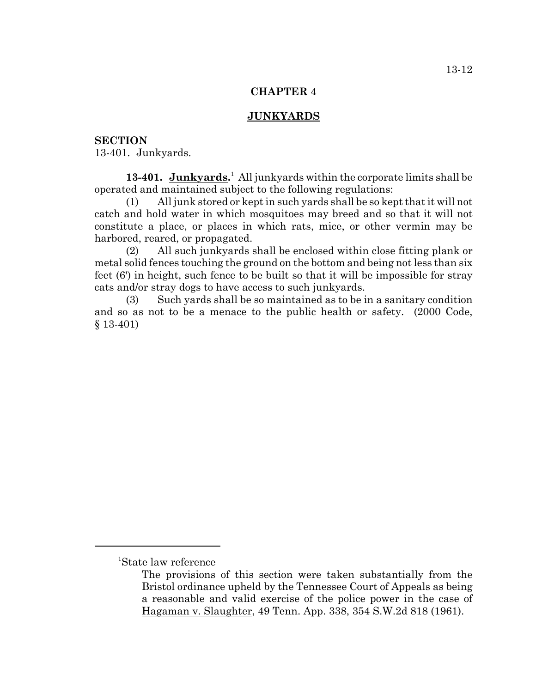# **JUNKYARDS**

# **SECTION**

13-401. Junkyards.

13-401. Junkyards.<sup>1</sup> All junkyards within the corporate limits shall be operated and maintained subject to the following regulations:

(1) All junk stored or kept in such yards shall be so kept that it will not catch and hold water in which mosquitoes may breed and so that it will not constitute a place, or places in which rats, mice, or other vermin may be harbored, reared, or propagated.

(2) All such junkyards shall be enclosed within close fitting plank or metal solid fences touching the ground on the bottom and being not less than six feet (6') in height, such fence to be built so that it will be impossible for stray cats and/or stray dogs to have access to such junkyards.

(3) Such yards shall be so maintained as to be in a sanitary condition and so as not to be a menace to the public health or safety. (2000 Code, § 13-401)

<sup>1</sup> State law reference

The provisions of this section were taken substantially from the Bristol ordinance upheld by the Tennessee Court of Appeals as being a reasonable and valid exercise of the police power in the case of Hagaman v. Slaughter, 49 Tenn. App. 338, 354 S.W.2d 818 (1961).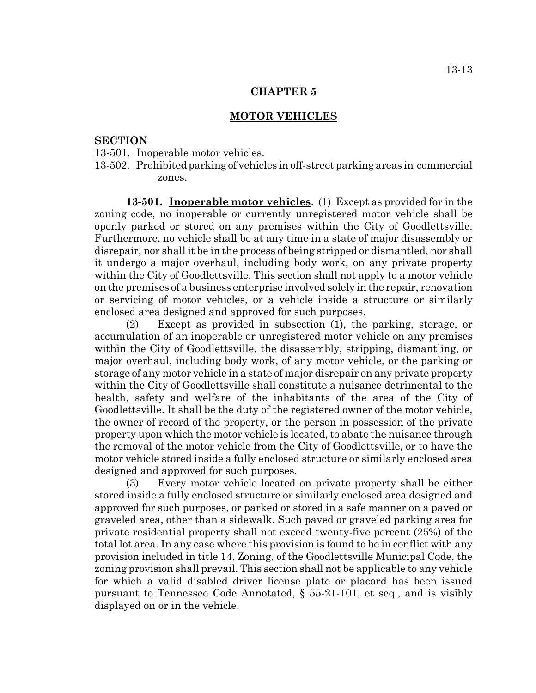### **MOTOR VEHICLES**

### **SECTION**

- 13-501. Inoperable motor vehicles.
- 13-502. Prohibited parking of vehicles in off-street parking areas in commercial zones.

**13-501. Inoperable motor vehicles**. (1) Except as provided for in the zoning code, no inoperable or currently unregistered motor vehicle shall be openly parked or stored on any premises within the City of Goodlettsville. Furthermore, no vehicle shall be at any time in a state of major disassembly or disrepair, nor shall it be in the process of being stripped or dismantled, nor shall it undergo a major overhaul, including body work, on any private property within the City of Goodlettsville. This section shall not apply to a motor vehicle on the premises of a business enterprise involved solely in the repair, renovation or servicing of motor vehicles, or a vehicle inside a structure or similarly enclosed area designed and approved for such purposes.

(2) Except as provided in subsection (1), the parking, storage, or accumulation of an inoperable or unregistered motor vehicle on any premises within the City of Goodlettsville, the disassembly, stripping, dismantling, or major overhaul, including body work, of any motor vehicle, or the parking or storage of any motor vehicle in a state of major disrepair on any private property within the City of Goodlettsville shall constitute a nuisance detrimental to the health, safety and welfare of the inhabitants of the area of the City of Goodlettsville. It shall be the duty of the registered owner of the motor vehicle, the owner of record of the property, or the person in possession of the private property upon which the motor vehicle is located, to abate the nuisance through the removal of the motor vehicle from the City of Goodlettsville, or to have the motor vehicle stored inside a fully enclosed structure or similarly enclosed area designed and approved for such purposes.

(3) Every motor vehicle located on private property shall be either stored inside a fully enclosed structure or similarly enclosed area designed and approved for such purposes, or parked or stored in a safe manner on a paved or graveled area, other than a sidewalk. Such paved or graveled parking area for private residential property shall not exceed twenty-five percent (25%) of the total lot area. In any case where this provision is found to be in conflict with any provision included in title 14, Zoning, of the Goodlettsville Municipal Code, the zoning provision shall prevail. This section shall not be applicable to any vehicle for which a valid disabled driver license plate or placard has been issued pursuant to Tennessee Code Annotated, § 55-21-101, et seq., and is visibly displayed on or in the vehicle.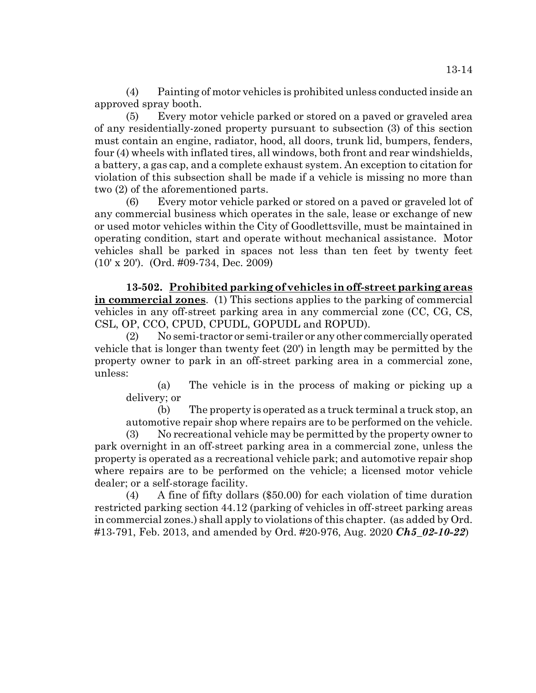(4) Painting of motor vehicles is prohibited unless conducted inside an approved spray booth.

(5) Every motor vehicle parked or stored on a paved or graveled area of any residentially-zoned property pursuant to subsection (3) of this section must contain an engine, radiator, hood, all doors, trunk lid, bumpers, fenders, four (4) wheels with inflated tires, all windows, both front and rear windshields, a battery, a gas cap, and a complete exhaust system. An exception to citation for violation of this subsection shall be made if a vehicle is missing no more than two (2) of the aforementioned parts.

(6) Every motor vehicle parked or stored on a paved or graveled lot of any commercial business which operates in the sale, lease or exchange of new or used motor vehicles within the City of Goodlettsville, must be maintained in operating condition, start and operate without mechanical assistance. Motor vehicles shall be parked in spaces not less than ten feet by twenty feet (10' x 20'). (Ord. #09-734, Dec. 2009)

**13-502. Prohibited parking of vehicles in off-street parking areas in commercial zones**. (1) This sections applies to the parking of commercial vehicles in any off-street parking area in any commercial zone (CC, CG, CS, CSL, OP, CCO, CPUD, CPUDL, GOPUDL and ROPUD).

(2) No semi-tractor or semi-trailer or any other commercially operated vehicle that is longer than twenty feet (20') in length may be permitted by the property owner to park in an off-street parking area in a commercial zone, unless:

(a) The vehicle is in the process of making or picking up a delivery; or

(b) The property is operated as a truck terminal a truck stop, an automotive repair shop where repairs are to be performed on the vehicle.

(3) No recreational vehicle may be permitted by the property owner to park overnight in an off-street parking area in a commercial zone, unless the property is operated as a recreational vehicle park; and automotive repair shop where repairs are to be performed on the vehicle; a licensed motor vehicle dealer; or a self-storage facility.

(4) A fine of fifty dollars (\$50.00) for each violation of time duration restricted parking section 44.12 (parking of vehicles in off-street parking areas in commercial zones.) shall apply to violations of this chapter. (as added by Ord. #13-791, Feb. 2013, and amended by Ord. #20-976, Aug. 2020 *Ch5\_02-10-22*)